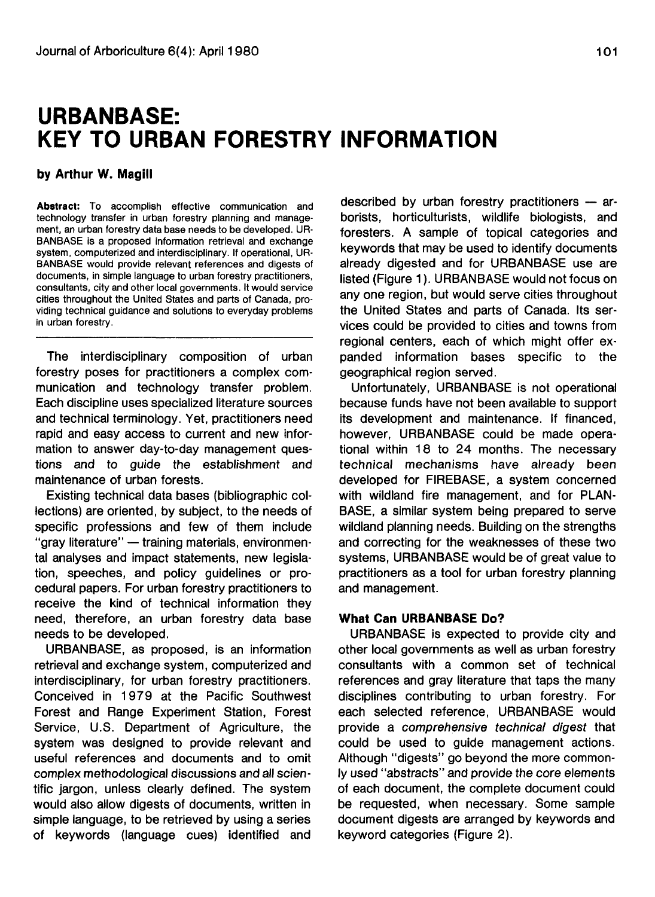# **URBANBASE: KEY TO URBAN FORESTRY INFORMATION**

## **by Arthur W. Magill**

**Abstract:** To accomplish effective communication and technology transfer in urban forestry planning and management, an urban forestry data base needs to be developed. UR-BANBASE is a proposed information retrieval and exchange system, computerized and interdisciplinary. If operational, UR-BANBASE would provide relevant references and digests of documents, in simple language to urban forestry practitioners, consultants, city and other local governments. It would service cities throughout the United States and parts of Canada, providing technical guidance and solutions to everyday problems in urban forestry.

The interdisciplinary composition of urban forestry poses for practitioners a complex communication and technology transfer problem. Each discipline uses specialized literature sources and technical terminology. Yet, practitioners need rapid and easy access to current and new information to answer day-to-day management questions and to guide the establishment and maintenance of urban forests.

Existing technical data bases (bibliographic collections) are oriented, by subject, to the needs of specific professions and few of them include "gray literature" — training materials, environmental analyses and impact statements, new legislation, speeches, and policy guidelines or procedural papers. For urban forestry practitioners to receive the kind of technical information they need, therefore, an urban forestry data base needs to be developed.

URBANBASE, as proposed, is an information retrieval and exchange system, computerized and interdisciplinary, for urban forestry practitioners. Conceived in 1979 at the Pacific Southwest Forest and Range Experiment Station, Forest Service, U.S. Department of Agriculture, the system was designed to provide relevant and useful references and documents and to omit complex methodological discussions and all scientific jargon, unless clearly defined. The system would also allow digests of documents, written in simple language, to be retrieved by using a series of keywords (language cues) identified and

described by urban forestry practitioners — arborists, horticulturists, wildlife biologists, and foresters. A sample of topical categories and keywords that may be used to identify documents already digested and for URBANBASE use are listed (Figure 1). URBANBASE would not focus on any one region, but would serve cities throughout the United States and parts of Canada. Its services could be provided to cities and towns from regional centers, each of which might offer expanded information bases specific to the geographical region served.

Unfortunately, URBANBASE is not operational because funds have not been available to support its development and maintenance. If financed, however, URBANBASE could be made operational within 18 to 24 months. The necessary technical mechanisms have already been developed for FIREBASE, a system concerned with wildland fire management, and for PLAN-BASE, a similar system being prepared to serve wildland planning needs. Building on the strengths and correcting for the weaknesses of these two systems, URBANBASE would be of great value to practitioners as a tool for urban forestry planning and management.

## **What Can URBANBASE Do?**

URBANBASE is expected to provide city and other local governments as well as urban forestry consultants with a common set of technical references and gray literature that taps the many disciplines contributing to urban forestry. For each selected reference, URBANBASE would provide a comprehensive technical digest that could be used to guide management actions. Although "digests" go beyond the more commonly used "abstracts" and provide the core elements of each document, the complete document could be requested, when necessary. Some sample document digests are arranged by keywords and keyword categories (Figure 2).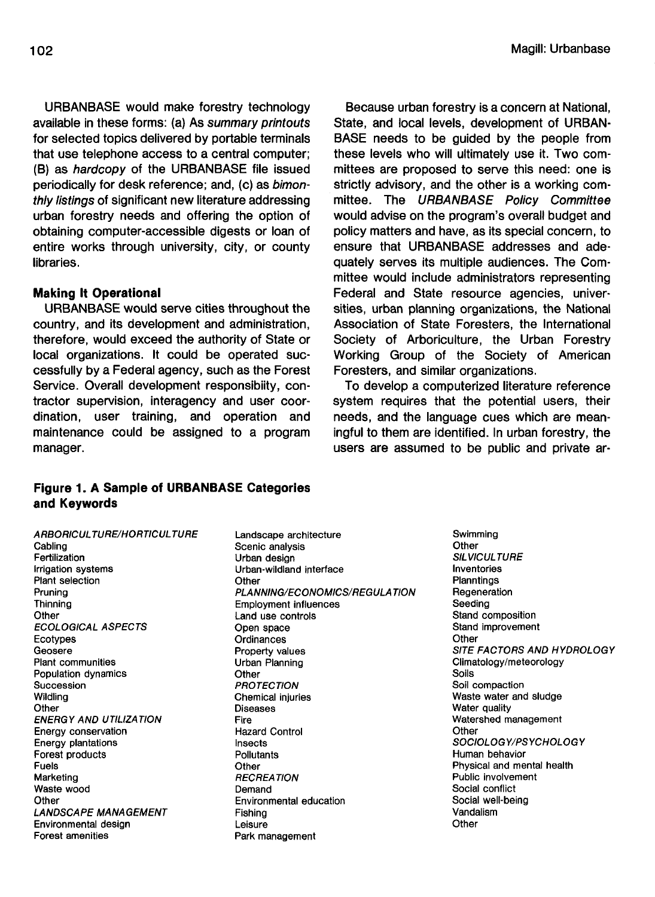URBANBASE would make forestry technology available in these forms: (a) As summary printouts for selected topics delivered by portable terminals that use telephone access to a central computer; (B) as hardcopy of the URBANBASE file issued periodically for desk reference; and, (c) as bimonthly listings of significant new literature addressing urban forestry needs and offering the option of obtaining computer-accessible digests or loan of entire works through university, city, or county libraries.

## **Making It Operational**

URBANBASE would serve cities throughout the country, and its development and administration, therefore, would exceed the authority of State or local organizations. It could be operated successfully by a Federal agency, such as the Forest Service. Overall development responsibiity, contractor supervision, interagency and user coordination, user training, and operation and maintenance could be assigned to a program manager.

## **Figure 1. A Sample of URBANBASE Categories and Keywords**

A RBORICUL TURE/HORTICUL TURE Cabling Fertilization Irrigation systems Plant selection Pruning **Thinning Other** ECOLOGICAL ASPECTS Ecotypes Geosere Plant communities Population dynamics Succession Wildling **Other** ENERGY AND UTILIZATION Energy conservation Energy plantations Forest products Fuels Marketing Waste wood **Other** LANDSCAPE MANAGEMENT Environmental design Forest amenities

Landscape architecture Scenic analysis Urban design Urban-wildland interface **Other** PLANNING/ECONOMICS/REGULA TION Employment influences Land use controls Open space **Ordinances** Property values Urban Planning **Other PROTECTION** Chemical injuries **Diseases** Fire Hazard Control Insects **Pollutants Other RECREATION** Demand Environmental education Fishing Leisure Park management

Because urban forestry is a concern at National, State, and local levels, development of URBAN-BASE needs to be guided by the people from these levels who will ultimately use it. Two committees are proposed to serve this need: one is strictly advisory, and the other is a working committee. The URBANBASE Policy Committee would advise on the program's overall budget and policy matters and have, as its special concern, to ensure that URBANBASE addresses and adequately serves its multiple audiences. The Committee would include administrators representing Federal and State resource agencies, universities, urban planning organizations, the National Association of State Foresters, the International Society of Arboriculture, the Urban Forestry Working Group of the Society of American Foresters, and similar organizations.

To develop a computerized literature reference system requires that the potential users, their needs, and the language cues which are meaningful to them are identified. In urban forestry, the users are assumed to be public and private ar-

> **Swimming Other** SILVICULTURE Inventories **Planntings** Regeneration Seeding Stand composition Stand improvement **Other** SITE FACTORS AND HYDROLOGY Climatology/meteorology Soils Soil compaction Waste water and sludge Water quality Watershed management **Other** SOCIOLOGY/PSYCHOLOGY Human behavior Physical and mental health Public involvement Social conflict Social well-being Vandalism **Other**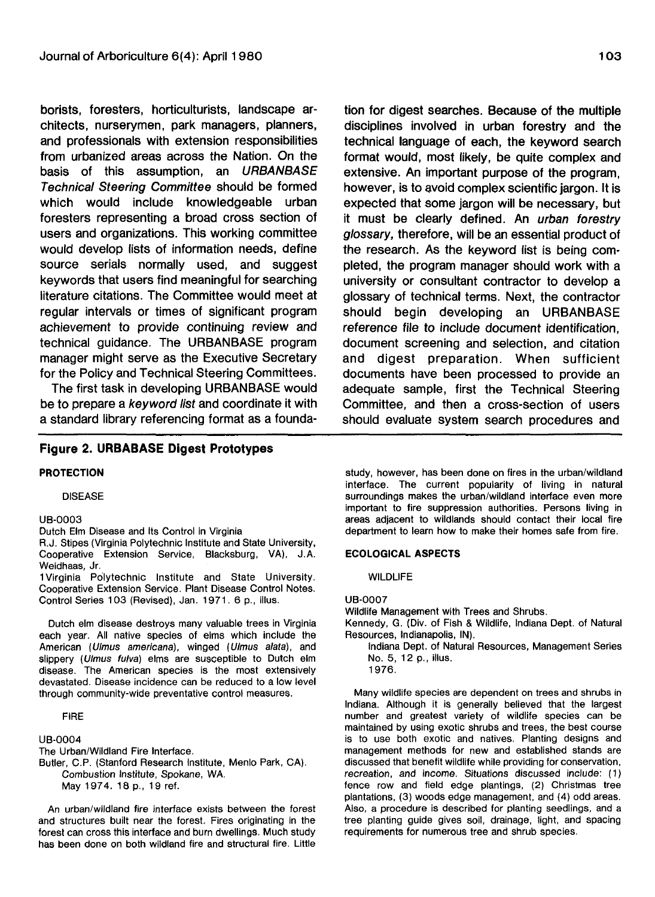borists, foresters, horticulturists, landscape architects, nurserymen, park managers, planners, and professionals with extension responsibilities from urbanized areas across the Nation. On the basis of this assumption, an URBANBASE Technical Steering Committee should be formed which would include knowledgeable urban foresters representing a broad cross section of users and organizations. This working committee would develop lists of information needs, define source serials normally used, and suggest keywords that users find meaningful for searching literature citations. The Committee would meet at regular intervals or times of significant program achievement to provide continuing review and technical guidance. The URBANBASE program manager might serve as the Executive Secretary for the Policy and Technical Steering Committees.

The first task in developing URBANBASE would be to prepare a keyword list and coordinate it with a standard library referencing format as a founda-

# **Figure 2. URBABASE Digest Prototypes**

## **PROTECTION**

DISEASE

#### UB-0003

Dutch Elm Disease and Its Control in Virginia

R.J. Stipes (Virginia Polytechnic Institute and State University, Cooperative Extension Service, Blacksburg, VA), J.A. Weidhaas, Jr.

1 Virginia Polytechnic Institute and State University. Cooperative Extension Service. Plant Disease Control Notes. Control Series 103 (Revised), Jan. 1971. 6 p., illus.

Dutch elm disease destroys many valuable trees in Virginia each year. All native species of elms which include the American (Ulmus americana), winged (Ulmus alata), and slippery (Ulmus fulva) elms are susceptible to Dutch elm disease. The American species is the most extensively devastated. Disease incidence can be reduced to a low level through community-wide preventative control measures.

## FIRE

UB-0004 The Urban/Wildland Fire Interface. Butler, C.P. (Stanford Research Institute, Menlo Park, CA). Combustion Institute, Spokane, WA. May 1974. 18 p., 19 ref.

An urban/wildland fire interface exists between the forest and structures built near the forest. Fires originating in the forest can cross this interface and burn dwellings. Much study has been done on both wildland fire and structural fire. Little

tion for digest searches. Because of the multiple disciplines involved in urban forestry and the technical language of each, the keyword search format would, most likely, be quite complex and extensive. An important purpose of the program, however, is to avoid complex scientific jargon. It is expected that some jargon will be necessary, but it must be clearly defined. An *urban forestry* glossary, therefore, will be an essential product of the research. As the keyword list is being completed, the program manager should work with a university or consultant contractor to develop a glossary of technical terms. Next, the contractor should begin developing an URBANBASE reference file to include document identification, document screening and selection, and citation and digest preparation. When sufficient documents have been processed to provide an adequate sample, first the Technical Steering Committee, and then a cross-section of users should evaluate system search procedures and

study, however, has been done on fires in the urban/wildland interface. The current popularity of living in natural surroundings makes the urban/wildland interface even more important to fire suppression authorities. Persons living in areas adjacent to wildlands should contact their local fire department to learn how to make their homes safe from fire.

#### **ECOLOGICAL ASPECTS**

**WILDLIFE** 

#### UB-0007

Wildlife Management with Trees and Shrubs.

Kennedy, G. (Div. of Fish & Wildlife, Indiana Dept. of Natural Resources, Indianapolis, IN).

Indiana Dept. of Natural Resources, Management Series No. 5, 12 p., illus. 1976.

Many wildlife species are dependent on trees and shrubs in Indiana. Although it is generally believed that the largest number and greatest variety of wildlife species can be maintained by using exotic shrubs and trees, the best course is to use both exotic and natives. Planting designs and management methods for new and established stands are discussed that benefit wildlife while providing for conservation, recreation, and income. Situations discussed include: (1) fence row and field edge plantings, (2) Christmas tree plantations, (3) woods edge management, and (4) odd areas. Also, a procedure is described for planting seedlings, and a tree planting guide gives soil, drainage, light, and spacing requirements for numerous tree and shrub species.